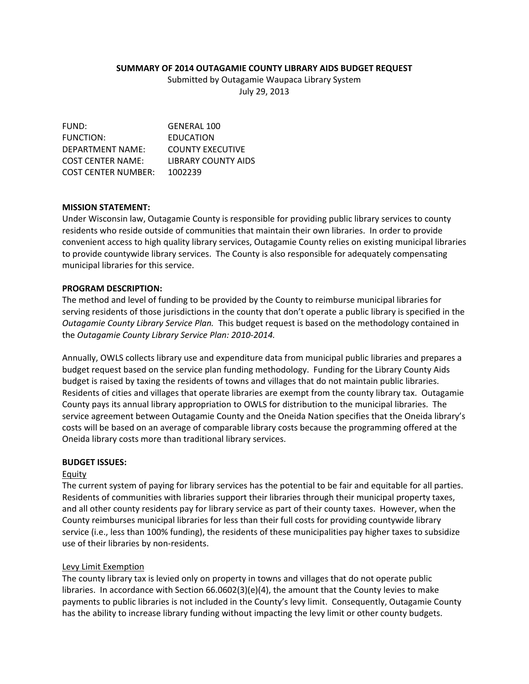## **SUMMARY OF 2014 OUTAGAMIE COUNTY LIBRARY AIDS BUDGET REQUEST**

Submitted by Outagamie Waupaca Library System

July 29, 2013

FUND: GENERAL 100 FUNCTION: EDUCATION DEPARTMENT NAME: COUNTY EXECUTIVE COST CENTER NAME: LIBRARY COUNTY AIDS COST CENTER NUMBER: 1002239

## **MISSION STATEMENT:**

Under Wisconsin law, Outagamie County is responsible for providing public library services to county residents who reside outside of communities that maintain their own libraries. In order to provide convenient access to high quality library services, Outagamie County relies on existing municipal libraries to provide countywide library services. The County is also responsible for adequately compensating municipal libraries for this service.

## **PROGRAM DESCRIPTION:**

The method and level of funding to be provided by the County to reimburse municipal libraries for serving residents of those jurisdictions in the county that don't operate a public library is specified in the *Outagamie County Library Service Plan.* This budget request is based on the methodology contained in the *Outagamie County Library Service Plan: 2010‐2014.*

Annually, OWLS collects library use and expenditure data from municipal public libraries and prepares a budget request based on the service plan funding methodology. Funding for the Library County Aids budget is raised by taxing the residents of towns and villages that do not maintain public libraries. Residents of cities and villages that operate libraries are exempt from the county library tax. Outagamie County pays its annual library appropriation to OWLS for distribution to the municipal libraries. The service agreement between Outagamie County and the Oneida Nation specifies that the Oneida library's costs will be based on an average of comparable library costs because the programming offered at the Oneida library costs more than traditional library services.

### **BUDGET ISSUES:**

### Equity

The current system of paying for library services has the potential to be fair and equitable for all parties. Residents of communities with libraries support their libraries through their municipal property taxes, and all other county residents pay for library service as part of their county taxes. However, when the County reimburses municipal libraries for less than their full costs for providing countywide library service (i.e., less than 100% funding), the residents of these municipalities pay higher taxes to subsidize use of their libraries by non‐residents.

# Levy Limit Exemption

The county library tax is levied only on property in towns and villages that do not operate public libraries. In accordance with Section  $66.0602(3)(e)(4)$ , the amount that the County levies to make payments to public libraries is not included in the County's levy limit. Consequently, Outagamie County has the ability to increase library funding without impacting the levy limit or other county budgets.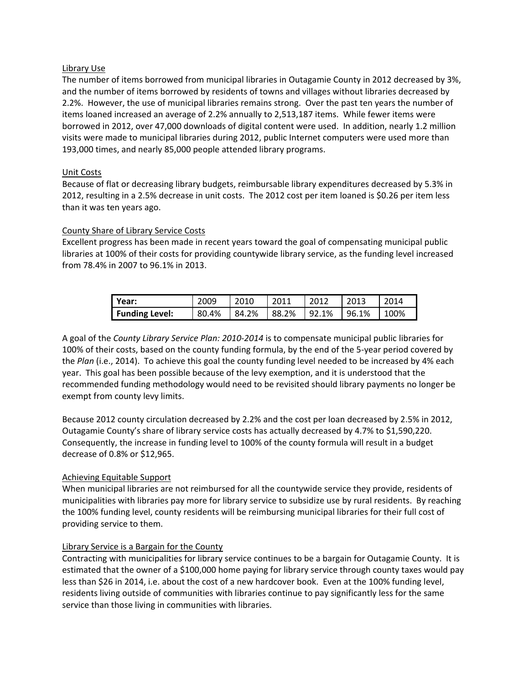## Library Use

The number of items borrowed from municipal libraries in Outagamie County in 2012 decreased by 3%, and the number of items borrowed by residents of towns and villages without libraries decreased by 2.2%. However, the use of municipal libraries remains strong. Over the past ten years the number of items loaned increased an average of 2.2% annually to 2,513,187 items. While fewer items were borrowed in 2012, over 47,000 downloads of digital content were used. In addition, nearly 1.2 million visits were made to municipal libraries during 2012, public Internet computers were used more than 193,000 times, and nearly 85,000 people attended library programs.

# Unit Costs

Because of flat or decreasing library budgets, reimbursable library expenditures decreased by 5.3% in 2012, resulting in a 2.5% decrease in unit costs. The 2012 cost per item loaned is \$0.26 per item less than it was ten years ago.

# County Share of Library Service Costs

Excellent progress has been made in recent years toward the goal of compensating municipal public libraries at 100% of their costs for providing countywide library service, as the funding level increased from 78.4% in 2007 to 96.1% in 2013.

| l Year:        | 2009  | 2010  | 2011  | 2012  | 2013  | 2014    |
|----------------|-------|-------|-------|-------|-------|---------|
| Funding Level: | 80.4% | 84.2% | 88.2% | 92.1% | 96.1% | $100\%$ |

A goal of the *County Library Service Plan: 2010‐2014* is to compensate municipal public libraries for 100% of their costs, based on the county funding formula, by the end of the 5‐year period covered by the *Plan* (i.e., 2014). To achieve this goal the county funding level needed to be increased by 4% each year. This goal has been possible because of the levy exemption, and it is understood that the recommended funding methodology would need to be revisited should library payments no longer be exempt from county levy limits.

Because 2012 county circulation decreased by 2.2% and the cost per loan decreased by 2.5% in 2012, Outagamie County's share of library service costs has actually decreased by 4.7% to \$1,590,220. Consequently, the increase in funding level to 100% of the county formula will result in a budget decrease of 0.8% or \$12,965.

# Achieving Equitable Support

When municipal libraries are not reimbursed for all the countywide service they provide, residents of municipalities with libraries pay more for library service to subsidize use by rural residents. By reaching the 100% funding level, county residents will be reimbursing municipal libraries for their full cost of providing service to them.

### Library Service is a Bargain for the County

Contracting with municipalities for library service continues to be a bargain for Outagamie County. It is estimated that the owner of a \$100,000 home paying for library service through county taxes would pay less than \$26 in 2014, i.e. about the cost of a new hardcover book. Even at the 100% funding level, residents living outside of communities with libraries continue to pay significantly less for the same service than those living in communities with libraries.